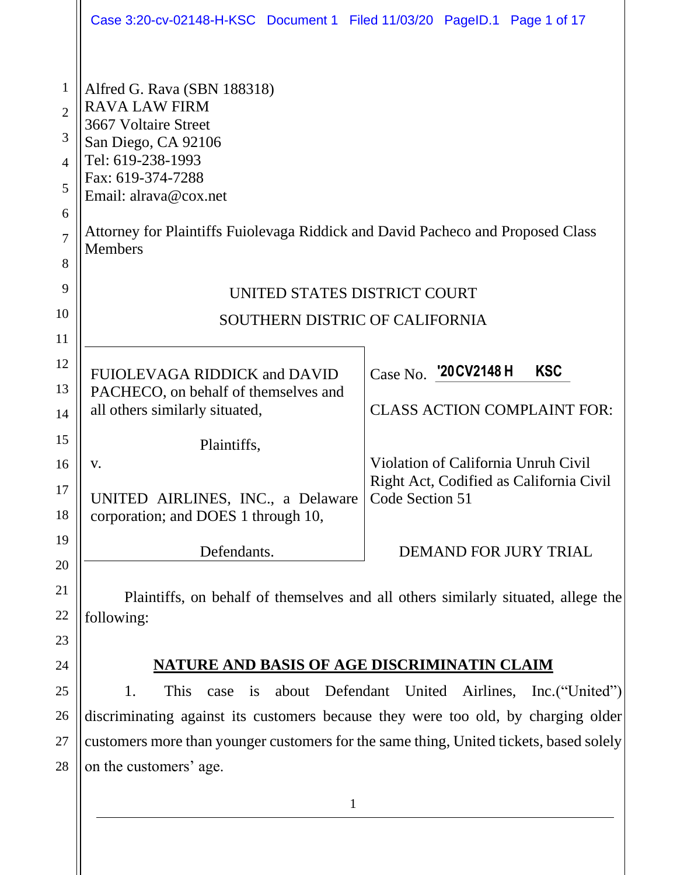|                                                                                        | Case 3:20-cv-02148-H-KSC Document 1 Filed 11/03/20 PageID.1 Page 1 of 17                                                                                                                                                                                            |                                                                                                   |  |
|----------------------------------------------------------------------------------------|---------------------------------------------------------------------------------------------------------------------------------------------------------------------------------------------------------------------------------------------------------------------|---------------------------------------------------------------------------------------------------|--|
| $\mathbf{1}$<br>$\overline{2}$<br>3<br>$\overline{4}$<br>5<br>6<br>$\overline{7}$<br>8 | Alfred G. Rava (SBN 188318)<br><b>RAVA LAW FIRM</b><br>3667 Voltaire Street<br>San Diego, CA 92106<br>Tel: 619-238-1993<br>Fax: 619-374-7288<br>Email: alrava@cox.net<br>Attorney for Plaintiffs Fuiolevaga Riddick and David Pacheco and Proposed Class<br>Members |                                                                                                   |  |
| 9                                                                                      | UNITED STATES DISTRICT COURT                                                                                                                                                                                                                                        |                                                                                                   |  |
| 10                                                                                     | SOUTHERN DISTRIC OF CALIFORNIA                                                                                                                                                                                                                                      |                                                                                                   |  |
| 11<br>12<br>13<br>14                                                                   | FUIOLEVAGA RIDDICK and DAVID<br>PACHECO, on behalf of themselves and<br>all others similarly situated,                                                                                                                                                              | Case No. '20 CV2148 H<br><b>KSC</b><br><b>CLASS ACTION COMPLAINT FOR:</b>                         |  |
| 15<br>16<br>17                                                                         | Plaintiffs,<br>V.<br>UNITED AIRLINES, INC., a Delaware                                                                                                                                                                                                              | Violation of California Unruh Civil<br>Right Act, Codified as California Civil<br>Code Section 51 |  |
| 18<br>19                                                                               | corporation; and DOES 1 through 10,                                                                                                                                                                                                                                 |                                                                                                   |  |
| 20                                                                                     | Defendants.                                                                                                                                                                                                                                                         | DEMAND FOR JURY TRIAL                                                                             |  |
| 21<br>22<br>23                                                                         | Plaintiffs, on behalf of themselves and all others similarly situated, allege the<br>following:                                                                                                                                                                     |                                                                                                   |  |
| 24                                                                                     | <b>NATURE AND BASIS OF AGE DISCRIMINATIN CLAIM</b>                                                                                                                                                                                                                  |                                                                                                   |  |
| 25                                                                                     | 1.<br>This<br>is<br>case                                                                                                                                                                                                                                            | about Defendant United Airlines, Inc. ("United")                                                  |  |
| 26                                                                                     | discriminating against its customers because they were too old, by charging older                                                                                                                                                                                   |                                                                                                   |  |
| 27                                                                                     | customers more than younger customers for the same thing, United tickets, based solely                                                                                                                                                                              |                                                                                                   |  |
| 28                                                                                     | on the customers' age.                                                                                                                                                                                                                                              |                                                                                                   |  |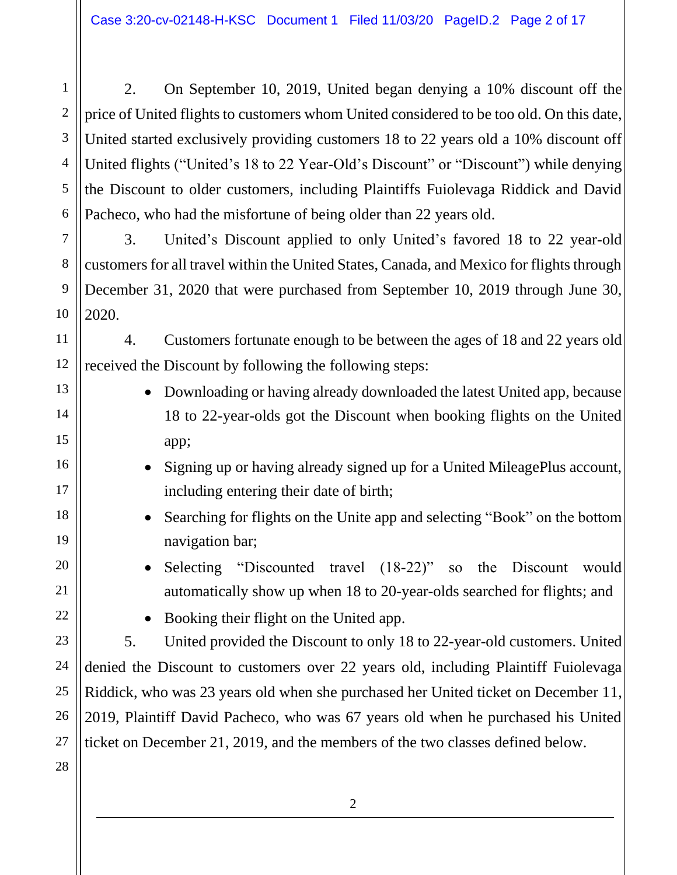2. On September 10, 2019, United began denying a 10% discount off the price of United flights to customers whom United considered to be too old. On this date, United started exclusively providing customers 18 to 22 years old a 10% discount off United flights ("United's 18 to 22 Year-Old's Discount" or "Discount") while denying the Discount to older customers, including Plaintiffs Fuiolevaga Riddick and David Pacheco, who had the misfortune of being older than 22 years old.

3. United's Discount applied to only United's favored 18 to 22 year-old customersfor all travel within the United States, Canada, and Mexico for flights through December 31, 2020 that were purchased from September 10, 2019 through June 30, 2020.

11 12 4. Customers fortunate enough to be between the ages of 18 and 22 years old received the Discount by following the following steps:

- Downloading or having already downloaded the latest United app, because 18 to 22-year-olds got the Discount when booking flights on the United app;
- Signing up or having already signed up for a United MileagePlus account, including entering their date of birth;
	- Searching for flights on the Unite app and selecting "Book" on the bottom navigation bar;
	- Selecting "Discounted travel (18-22)" so the Discount would automatically show up when 18 to 20-year-olds searched for flights; and
- 22

1

2

3

4

5

6

7

8

9

10

13

14

15

16

17

18

19

20

21

23

24

25

• Booking their flight on the United app.

5. United provided the Discount to only 18 to 22-year-old customers. United denied the Discount to customers over 22 years old, including Plaintiff Fuiolevaga Riddick, who was 23 years old when she purchased her United ticket on December 11, 2019, Plaintiff David Pacheco, who was 67 years old when he purchased his United ticket on December 21, 2019, and the members of the two classes defined below.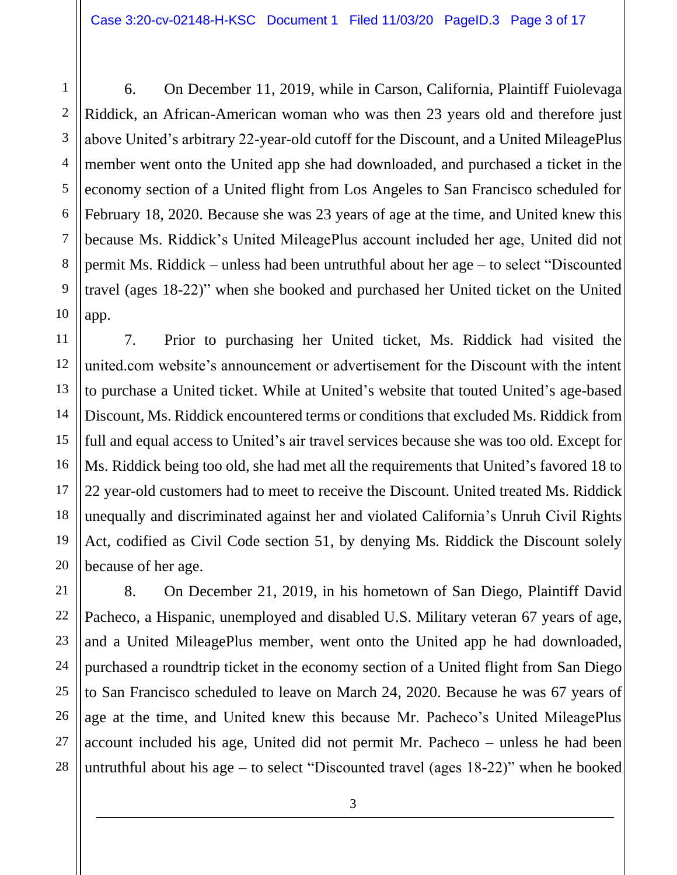6. On December 11, 2019, while in Carson, California, Plaintiff Fuiolevaga Riddick, an African-American woman who was then 23 years old and therefore just above United's arbitrary 22-year-old cutoff for the Discount, and a United MileagePlus member went onto the United app she had downloaded, and purchased a ticket in the economy section of a United flight from Los Angeles to San Francisco scheduled for February 18, 2020. Because she was 23 years of age at the time, and United knew this because Ms. Riddick's United MileagePlus account included her age, United did not permit Ms. Riddick – unless had been untruthful about her age – to select "Discounted travel (ages 18-22)" when she booked and purchased her United ticket on the United app.

7. Prior to purchasing her United ticket, Ms. Riddick had visited the united.com website's announcement or advertisement for the Discount with the intent to purchase a United ticket. While at United's website that touted United's age-based Discount, Ms. Riddick encountered terms or conditions that excluded Ms. Riddick from full and equal access to United's air travel services because she was too old. Except for Ms. Riddick being too old, she had met all the requirements that United's favored 18 to 22 year-old customers had to meet to receive the Discount. United treated Ms. Riddick unequally and discriminated against her and violated California's Unruh Civil Rights Act, codified as Civil Code section 51, by denying Ms. Riddick the Discount solely because of her age.

8. On December 21, 2019, in his hometown of San Diego, Plaintiff David Pacheco, a Hispanic, unemployed and disabled U.S. Military veteran 67 years of age, and a United MileagePlus member, went onto the United app he had downloaded, purchased a roundtrip ticket in the economy section of a United flight from San Diego to San Francisco scheduled to leave on March 24, 2020. Because he was 67 years of age at the time, and United knew this because Mr. Pacheco's United MileagePlus account included his age, United did not permit Mr. Pacheco – unless he had been untruthful about his age – to select "Discounted travel (ages 18-22)" when he booked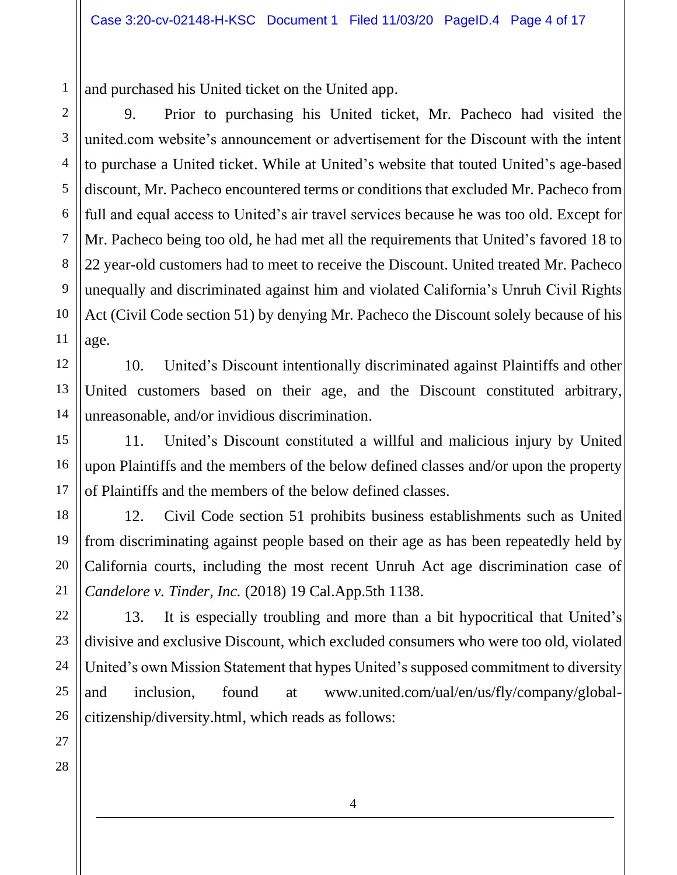and purchased his United ticket on the United app.

9. Prior to purchasing his United ticket, Mr. Pacheco had visited the united.com website's announcement or advertisement for the Discount with the intent to purchase a United ticket. While at United's website that touted United's age-based discount, Mr. Pacheco encountered terms or conditions that excluded Mr. Pacheco from full and equal access to United's air travel services because he was too old. Except for Mr. Pacheco being too old, he had met all the requirements that United's favored 18 to 22 year-old customers had to meet to receive the Discount. United treated Mr. Pacheco unequally and discriminated against him and violated California's Unruh Civil Rights Act (Civil Code section 51) by denying Mr. Pacheco the Discount solely because of his age.

10. United's Discount intentionally discriminated against Plaintiffs and other United customers based on their age, and the Discount constituted arbitrary, unreasonable, and/or invidious discrimination.

11. United's Discount constituted a willful and malicious injury by United upon Plaintiffs and the members of the below defined classes and/or upon the property of Plaintiffs and the members of the below defined classes.

12. Civil Code section 51 prohibits business establishments such as United from discriminating against people based on their age as has been repeatedly held by California courts, including the most recent Unruh Act age discrimination case of *Candelore v. Tinder, Inc.* (2018) 19 Cal.App.5th 1138.

13. It is especially troubling and more than a bit hypocritical that United's divisive and exclusive Discount, which excluded consumers who were too old, violated United's own Mission Statement that hypes United's supposed commitment to diversity and inclusion, found at www.united.com/ual/en/us/fly/company/globalcitizenship/diversity.html, which reads as follows: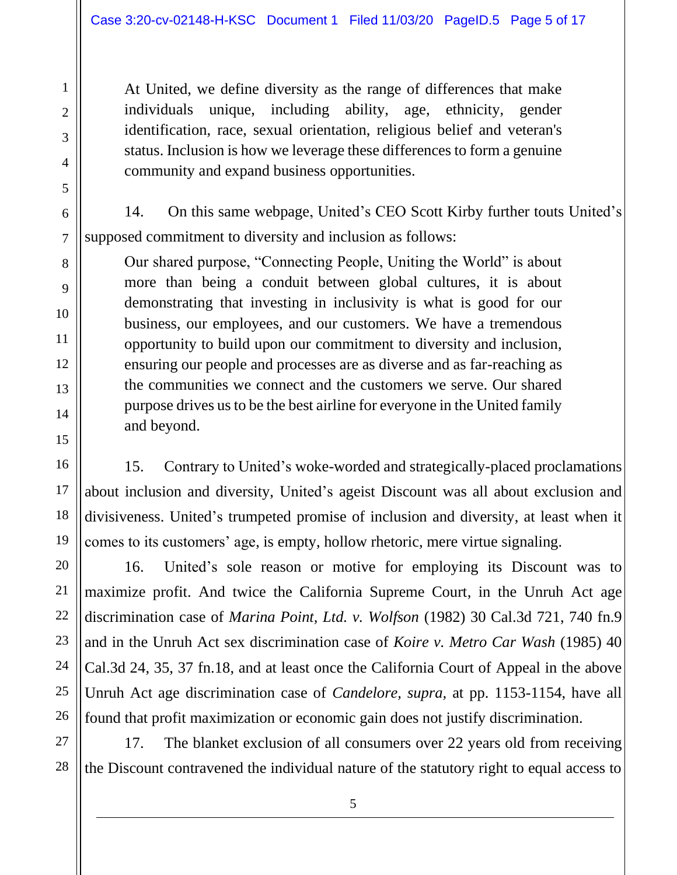At United, we define diversity as the range of differences that make individuals unique, including ability, age, ethnicity, gender identification, race, sexual orientation, religious belief and veteran's status. Inclusion is how we leverage these differences to form a genuine community and expand business opportunities.

14. On this same webpage, United's CEO Scott Kirby further touts United's supposed commitment to diversity and inclusion as follows:

Our shared purpose, "Connecting People, Uniting the World" is about more than being a conduit between global cultures, it is about demonstrating that investing in inclusivity is what is good for our business, our employees, and our customers. We have a tremendous opportunity to build upon our commitment to diversity and inclusion, ensuring our people and processes are as diverse and as far-reaching as the communities we connect and the customers we serve. Our shared purpose drives us to be the best airline for everyone in the United family and beyond.

15. Contrary to United's woke-worded and strategically-placed proclamations about inclusion and diversity, United's ageist Discount was all about exclusion and divisiveness. United's trumpeted promise of inclusion and diversity, at least when it comes to its customers' age, is empty, hollow rhetoric, mere virtue signaling.

16. United's sole reason or motive for employing its Discount was to maximize profit. And twice the California Supreme Court, in the Unruh Act age discrimination case of *Marina Point, Ltd. v. Wolfson* (1982) 30 Cal.3d 721, 740 fn.9 and in the Unruh Act sex discrimination case of *Koire v. Metro Car Wash* (1985) 40 Cal.3d 24, 35, 37 fn.18, and at least once the California Court of Appeal in the above Unruh Act age discrimination case of *Candelore, supra,* at pp. 1153-1154, have all found that profit maximization or economic gain does not justify discrimination.

17. The blanket exclusion of all consumers over 22 years old from receiving the Discount contravened the individual nature of the statutory right to equal access to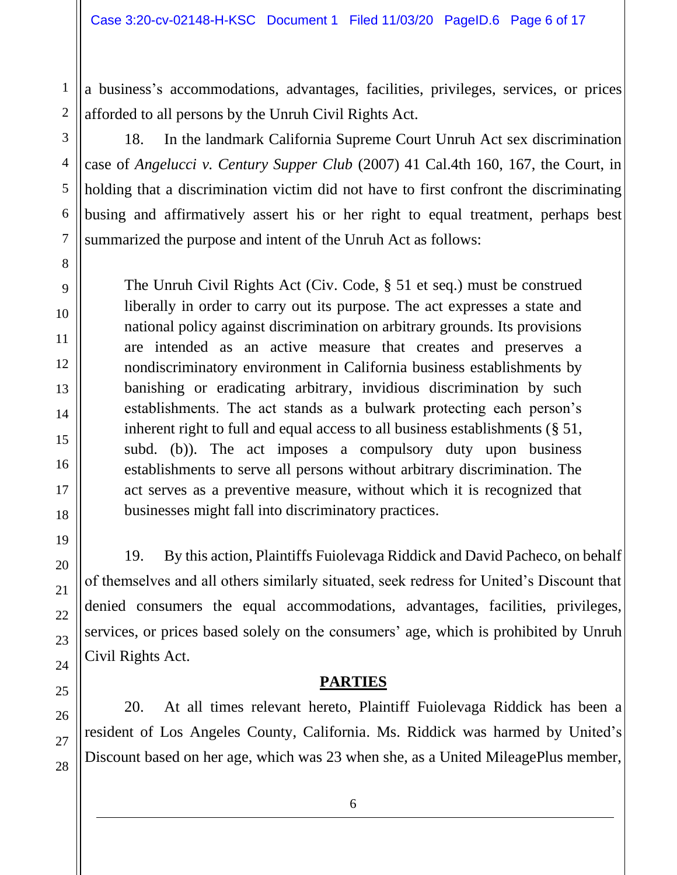a business's accommodations, advantages, facilities, privileges, services, or prices afforded to all persons by the Unruh Civil Rights Act.

18. In the landmark California Supreme Court Unruh Act sex discrimination case of *Angelucci v. Century Supper Club* (2007) 41 Cal.4th 160, 167, the Court, in holding that a discrimination victim did not have to first confront the discriminating busing and affirmatively assert his or her right to equal treatment, perhaps best summarized the purpose and intent of the Unruh Act as follows:

The Unruh Civil Rights Act (Civ. Code, § 51 et seq.) must be construed liberally in order to carry out its purpose. The act expresses a state and national policy against discrimination on arbitrary grounds. Its provisions are intended as an active measure that creates and preserves a nondiscriminatory environment in California business establishments by banishing or eradicating arbitrary, invidious discrimination by such establishments. The act stands as a bulwark protecting each person's inherent right to full and equal access to all business establishments (§ 51, subd. (b)). The act imposes a compulsory duty upon business establishments to serve all persons without arbitrary discrimination. The act serves as a preventive measure, without which it is recognized that businesses might fall into discriminatory practices.

19. By this action, Plaintiffs Fuiolevaga Riddick and David Pacheco, on behalf of themselves and all others similarly situated, seek redress for United's Discount that denied consumers the equal accommodations, advantages, facilities, privileges, services, or prices based solely on the consumers' age, which is prohibited by Unruh Civil Rights Act.

## **PARTIES**

20. At all times relevant hereto, Plaintiff Fuiolevaga Riddick has been a resident of Los Angeles County, California. Ms. Riddick was harmed by United's Discount based on her age, which was 23 when she, as a United MileagePlus member,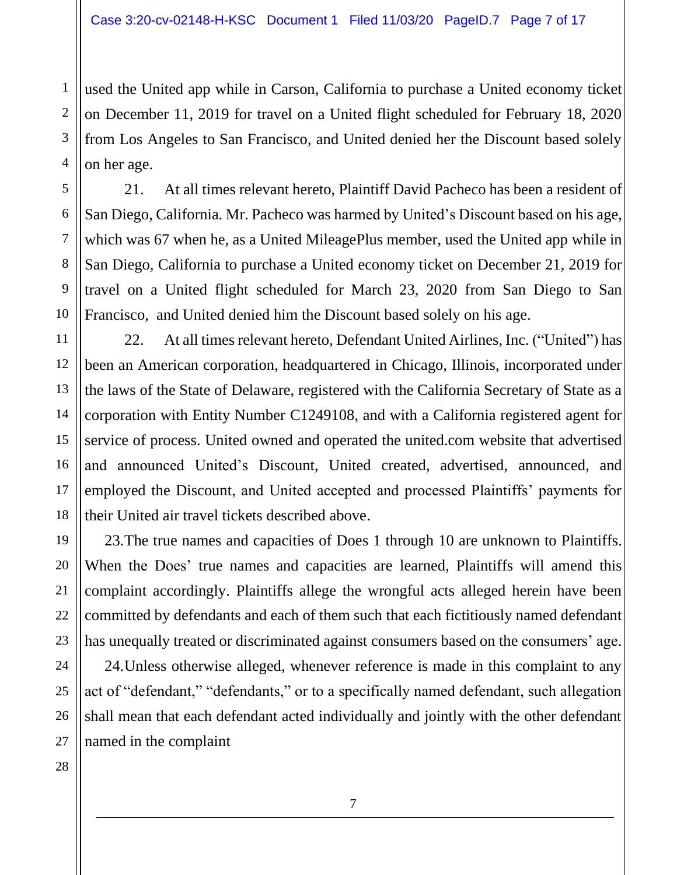used the United app while in Carson, California to purchase a United economy ticket on December 11, 2019 for travel on a United flight scheduled for February 18, 2020 from Los Angeles to San Francisco, and United denied her the Discount based solely on her age.

21. At all times relevant hereto, Plaintiff David Pacheco has been a resident of San Diego, California. Mr. Pacheco was harmed by United's Discount based on his age, which was 67 when he, as a United MileagePlus member, used the United app while in San Diego, California to purchase a United economy ticket on December 21, 2019 for travel on a United flight scheduled for March 23, 2020 from San Diego to San Francisco, and United denied him the Discount based solely on his age.

22. At all times relevant hereto, Defendant United Airlines, Inc. ("United") has been an American corporation, headquartered in Chicago, Illinois, incorporated under the laws of the State of Delaware, registered with the California Secretary of State as a corporation with Entity Number C1249108, and with a California registered agent for service of process. United owned and operated the united.com website that advertised and announced United's Discount, United created, advertised, announced, and employed the Discount, and United accepted and processed Plaintiffs' payments for their United air travel tickets described above.

23.The true names and capacities of Does 1 through 10 are unknown to Plaintiffs. When the Does' true names and capacities are learned, Plaintiffs will amend this complaint accordingly. Plaintiffs allege the wrongful acts alleged herein have been committed by defendants and each of them such that each fictitiously named defendant has unequally treated or discriminated against consumers based on the consumers' age. 24.Unless otherwise alleged, whenever reference is made in this complaint to any act of "defendant," "defendants," or to a specifically named defendant, such allegation shall mean that each defendant acted individually and jointly with the other defendant

27 28 named in the complaint

1

2

3

4

5

6

7

8

9

10

11

12

13

14

15

16

17

18

19

20

21

22

23

24

25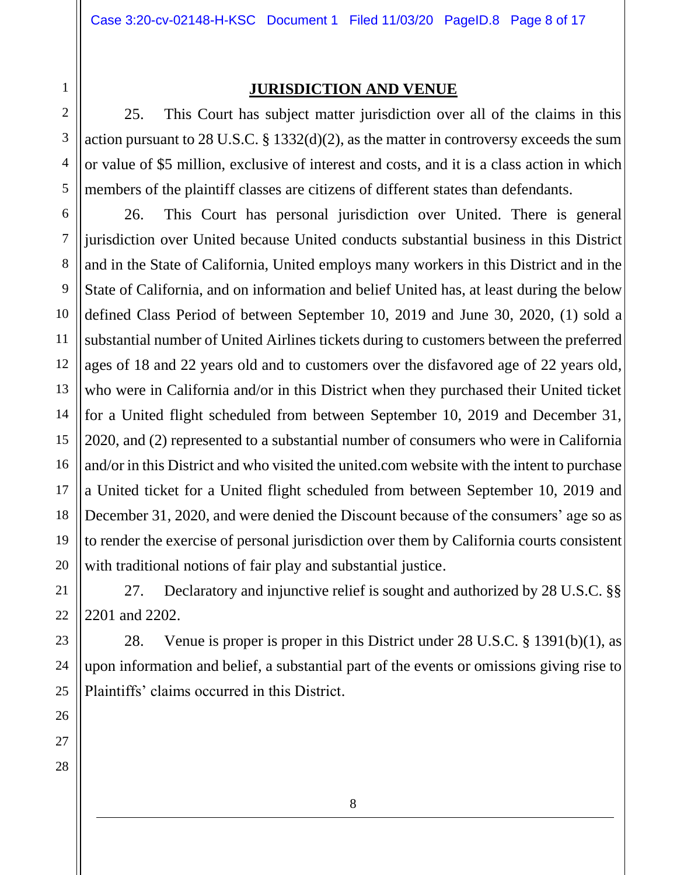28

#### **JURISDICTION AND VENUE**

25. This Court has subject matter jurisdiction over all of the claims in this action pursuant to 28 U.S.C. § 1332(d)(2), as the matter in controversy exceeds the sum or value of \$5 million, exclusive of interest and costs, and it is a class action in which members of the plaintiff classes are citizens of different states than defendants.

26. This Court has personal jurisdiction over United. There is general jurisdiction over United because United conducts substantial business in this District and in the State of California, United employs many workers in this District and in the State of California, and on information and belief United has, at least during the below defined Class Period of between September 10, 2019 and June 30, 2020, (1) sold a substantial number of United Airlines tickets during to customers between the preferred ages of 18 and 22 years old and to customers over the disfavored age of 22 years old, who were in California and/or in this District when they purchased their United ticket for a United flight scheduled from between September 10, 2019 and December 31, 2020, and (2) represented to a substantial number of consumers who were in California and/or in this District and who visited the united.com website with the intent to purchase a United ticket for a United flight scheduled from between September 10, 2019 and December 31, 2020, and were denied the Discount because of the consumers' age so as to render the exercise of personal jurisdiction over them by California courts consistent with traditional notions of fair play and substantial justice.

27. Declaratory and injunctive relief is sought and authorized by 28 U.S.C. §§ 2201 and 2202.

28. Venue is proper is proper in this District under 28 U.S.C. § 1391(b)(1), as upon information and belief, a substantial part of the events or omissions giving rise to Plaintiffs' claims occurred in this District.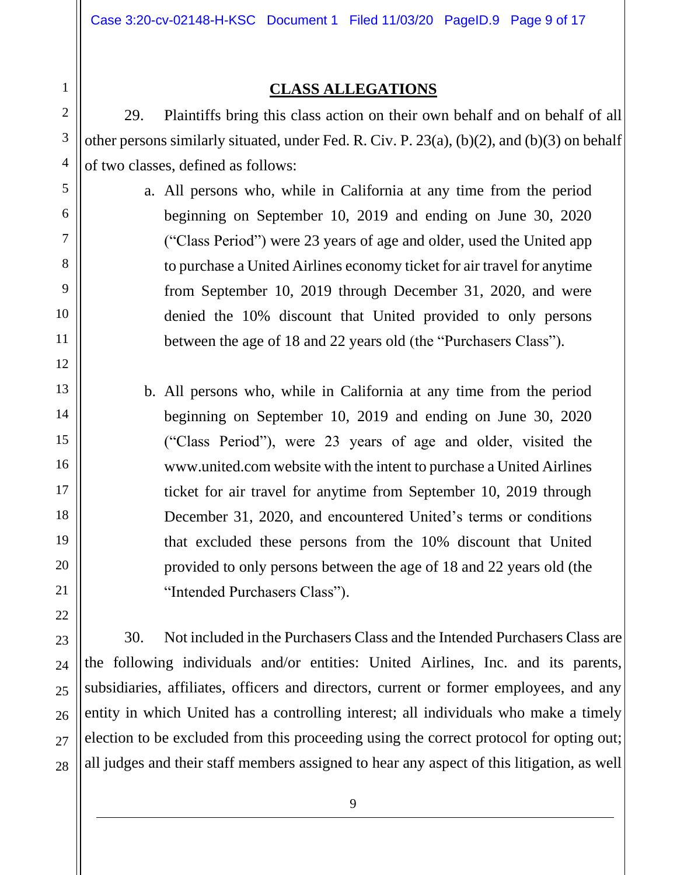#### **CLASS ALLEGATIONS**

29. Plaintiffs bring this class action on their own behalf and on behalf of all other persons similarly situated, under Fed. R. Civ. P. 23(a), (b)(2), and (b)(3) on behalf of two classes, defined as follows:

> a. All persons who, while in California at any time from the period beginning on September 10, 2019 and ending on June 30, 2020 ("Class Period") were 23 years of age and older, used the United app to purchase a United Airlines economy ticket for air travel for anytime from September 10, 2019 through December 31, 2020, and were denied the 10% discount that United provided to only persons between the age of 18 and 22 years old (the "Purchasers Class").

b. All persons who, while in California at any time from the period beginning on September 10, 2019 and ending on June 30, 2020 ("Class Period"), were 23 years of age and older, visited the www.united.com website with the intent to purchase a United Airlines ticket for air travel for anytime from September 10, 2019 through December 31, 2020, and encountered United's terms or conditions that excluded these persons from the 10% discount that United provided to only persons between the age of 18 and 22 years old (the "Intended Purchasers Class").

30. Not included in the Purchasers Class and the Intended Purchasers Class are the following individuals and/or entities: United Airlines, Inc. and its parents, subsidiaries, affiliates, officers and directors, current or former employees, and any entity in which United has a controlling interest; all individuals who make a timely election to be excluded from this proceeding using the correct protocol for opting out; all judges and their staff members assigned to hear any aspect of this litigation, as well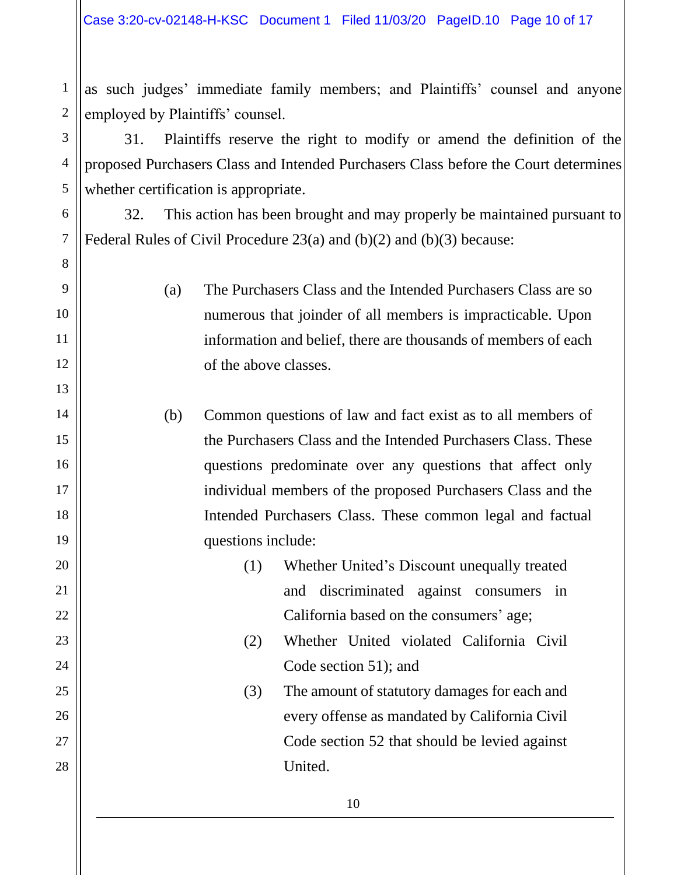as such judges' immediate family members; and Plaintiffs' counsel and anyone employed by Plaintiffs' counsel.

31. Plaintiffs reserve the right to modify or amend the definition of the proposed Purchasers Class and Intended Purchasers Class before the Court determines whether certification is appropriate.

32. This action has been brought and may properly be maintained pursuant to Federal Rules of Civil Procedure 23(a) and (b)(2) and (b)(3) because:

> (a) The Purchasers Class and the Intended Purchasers Class are so numerous that joinder of all members is impracticable. Upon information and belief, there are thousands of members of each of the above classes.

(b) Common questions of law and fact exist as to all members of the Purchasers Class and the Intended Purchasers Class. These questions predominate over any questions that affect only individual members of the proposed Purchasers Class and the Intended Purchasers Class. These common legal and factual questions include:

- (1) Whether United's Discount unequally treated and discriminated against consumers in California based on the consumers' age;
	- (2) Whether United violated California Civil Code section 51); and
	- (3) The amount of statutory damages for each and every offense as mandated by California Civil Code section 52 that should be levied against United.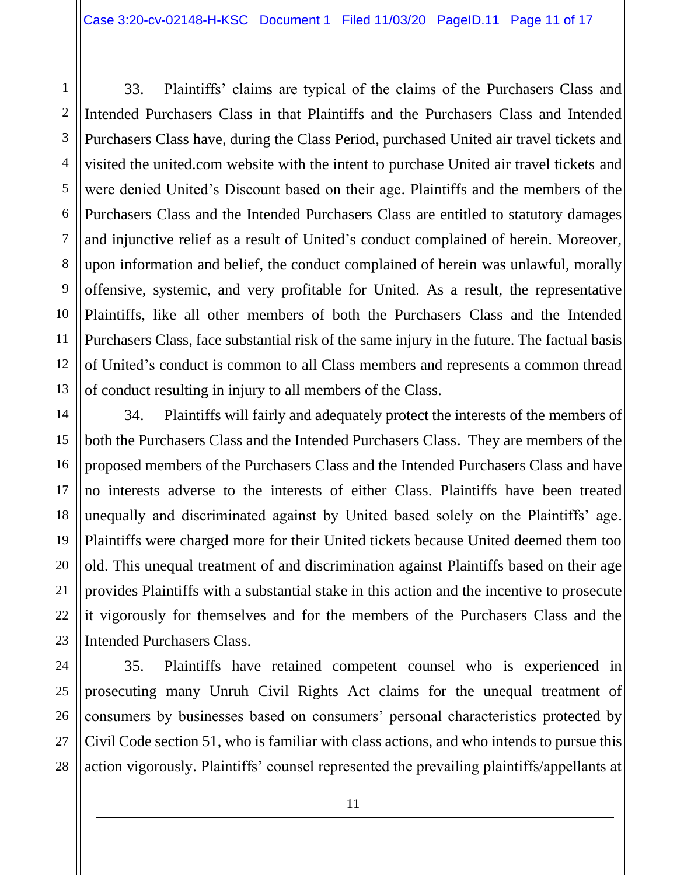1 2 3 4 5 6 7 8 10 11 12 13 33. Plaintiffs' claims are typical of the claims of the Purchasers Class and Intended Purchasers Class in that Plaintiffs and the Purchasers Class and Intended Purchasers Class have, during the Class Period, purchased United air travel tickets and visited the united.com website with the intent to purchase United air travel tickets and were denied United's Discount based on their age. Plaintiffs and the members of the Purchasers Class and the Intended Purchasers Class are entitled to statutory damages and injunctive relief as a result of United's conduct complained of herein. Moreover, upon information and belief, the conduct complained of herein was unlawful, morally offensive, systemic, and very profitable for United. As a result, the representative Plaintiffs, like all other members of both the Purchasers Class and the Intended Purchasers Class, face substantial risk of the same injury in the future. The factual basis of United's conduct is common to all Class members and represents a common thread of conduct resulting in injury to all members of the Class.

9

14 15 16 17 18 19 20 21 22 23 34. Plaintiffs will fairly and adequately protect the interests of the members of both the Purchasers Class and the Intended Purchasers Class. They are members of the proposed members of the Purchasers Class and the Intended Purchasers Class and have no interests adverse to the interests of either Class. Plaintiffs have been treated unequally and discriminated against by United based solely on the Plaintiffs' age. Plaintiffs were charged more for their United tickets because United deemed them too old. This unequal treatment of and discrimination against Plaintiffs based on their age provides Plaintiffs with a substantial stake in this action and the incentive to prosecute it vigorously for themselves and for the members of the Purchasers Class and the Intended Purchasers Class.

24 25 26 27 28 35. Plaintiffs have retained competent counsel who is experienced in prosecuting many Unruh Civil Rights Act claims for the unequal treatment of consumers by businesses based on consumers' personal characteristics protected by Civil Code section 51, who is familiar with class actions, and who intends to pursue this action vigorously. Plaintiffs' counsel represented the prevailing plaintiffs/appellants at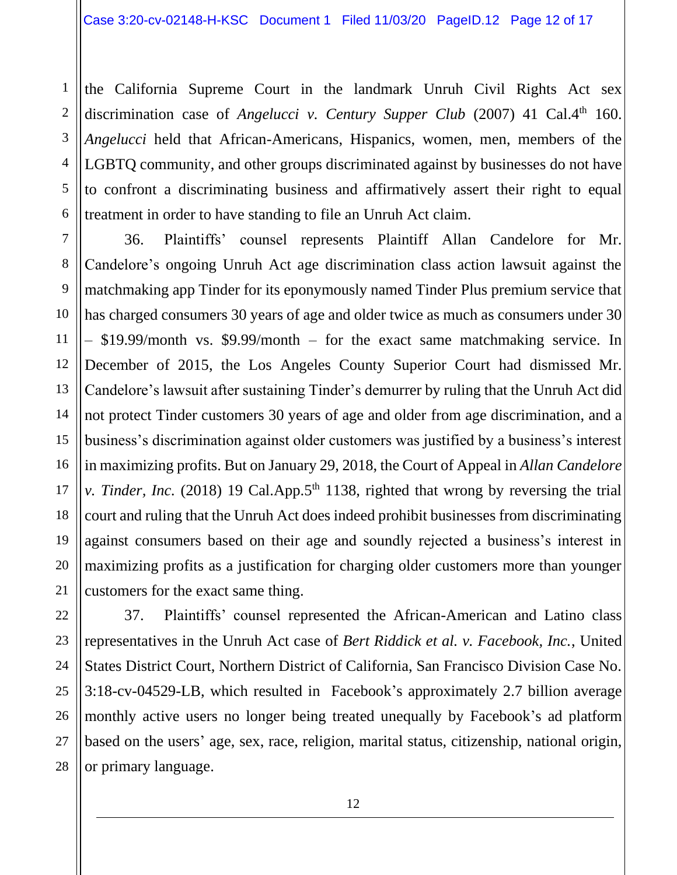1

2

3

4

5

6

the California Supreme Court in the landmark Unruh Civil Rights Act sex discrimination case of *Angelucci v. Century Supper Club* (2007) 41 Cal.4<sup>th</sup> 160. *Angelucci* held that African-Americans, Hispanics, women, men, members of the LGBTQ community, and other groups discriminated against by businesses do not have to confront a discriminating business and affirmatively assert their right to equal treatment in order to have standing to file an Unruh Act claim.

7 8 9 10 11 12 13 14 15 16 17 18 19 20 21 36. Plaintiffs' counsel represents Plaintiff Allan Candelore for Mr. Candelore's ongoing Unruh Act age discrimination class action lawsuit against the matchmaking app Tinder for its eponymously named Tinder Plus premium service that has charged consumers 30 years of age and older twice as much as consumers under 30 – \$19.99/month vs. \$9.99/month – for the exact same matchmaking service. In December of 2015, the Los Angeles County Superior Court had dismissed Mr. Candelore's lawsuit after sustaining Tinder's demurrer by ruling that the Unruh Act did not protect Tinder customers 30 years of age and older from age discrimination, and a business's discrimination against older customers was justified by a business's interest in maximizing profits. But on January 29, 2018, the Court of Appeal in *Allan Candelore v. Tinder, Inc.* (2018) 19 Cal.App.5<sup>th</sup> 1138, righted that wrong by reversing the trial court and ruling that the Unruh Act does indeed prohibit businesses from discriminating against consumers based on their age and soundly rejected a business's interest in maximizing profits as a justification for charging older customers more than younger customers for the exact same thing.

22 23 24 25 26 27 28 37. Plaintiffs' counsel represented the African-American and Latino class representatives in the Unruh Act case of *Bert Riddick et al. v. Facebook, Inc.*, United States District Court, Northern District of California, San Francisco Division Case No. 3:18-cv-04529-LB, which resulted in Facebook's approximately 2.7 billion average monthly active users no longer being treated unequally by Facebook's ad platform based on the users' age, sex, race, religion, marital status, citizenship, national origin, or primary language.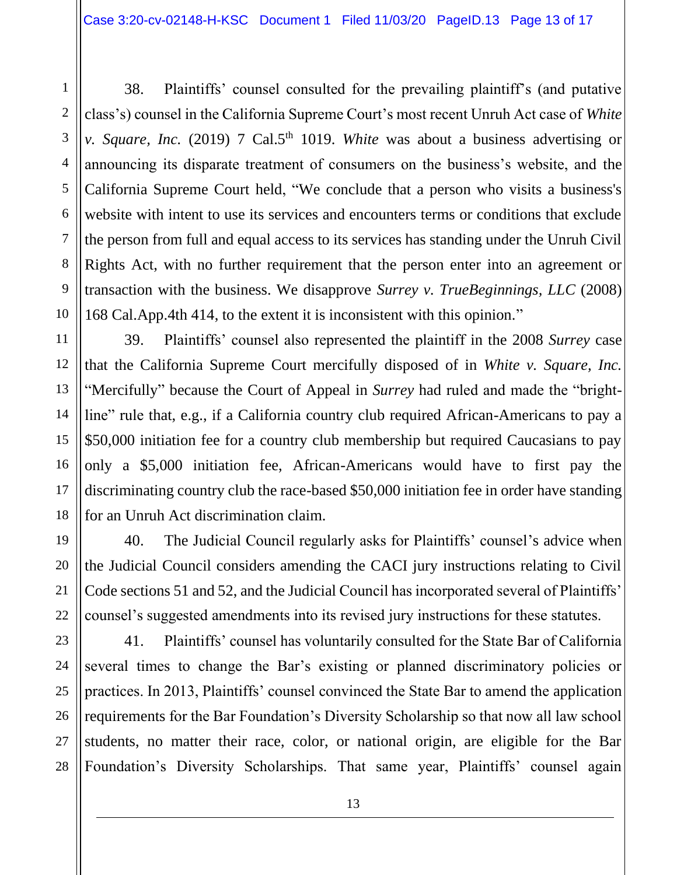38. Plaintiffs' counsel consulted for the prevailing plaintiff's (and putative class's) counsel in the California Supreme Court's most recent Unruh Act case of *White v. Square, Inc.* (2019) 7 Cal.5<sup>th</sup> 1019. *White* was about a business advertising or announcing its disparate treatment of consumers on the business's website, and the California Supreme Court held, "We conclude that a person who visits a business's website with intent to use its services and encounters terms or conditions that exclude the person from full and equal access to its services has standing under the Unruh Civil Rights Act, with no further requirement that the person enter into an agreement or transaction with the business. We disapprove *Surrey v. TrueBeginnings, LLC* (2008) 168 Cal.App.4th 414, to the extent it is inconsistent with this opinion."

39. Plaintiffs' counsel also represented the plaintiff in the 2008 *Surrey* case that the California Supreme Court mercifully disposed of in *White v. Square, Inc.* "Mercifully" because the Court of Appeal in *Surrey* had ruled and made the "brightline" rule that, e.g., if a California country club required African-Americans to pay a \$50,000 initiation fee for a country club membership but required Caucasians to pay only a \$5,000 initiation fee, African-Americans would have to first pay the discriminating country club the race-based \$50,000 initiation fee in order have standing for an Unruh Act discrimination claim.

40. The Judicial Council regularly asks for Plaintiffs' counsel's advice when the Judicial Council considers amending the CACI jury instructions relating to Civil Code sections 51 and 52, and the Judicial Council has incorporated several of Plaintiffs' counsel's suggested amendments into its revised jury instructions for these statutes.

41. Plaintiffs' counsel has voluntarily consulted for the State Bar of California several times to change the Bar's existing or planned discriminatory policies or practices. In 2013, Plaintiffs' counsel convinced the State Bar to amend the application requirements for the Bar Foundation's Diversity Scholarship so that now all law school students, no matter their race, color, or national origin, are eligible for the Bar Foundation's Diversity Scholarships. That same year, Plaintiffs' counsel again

13

1

2

3

4

5

6

7

8

9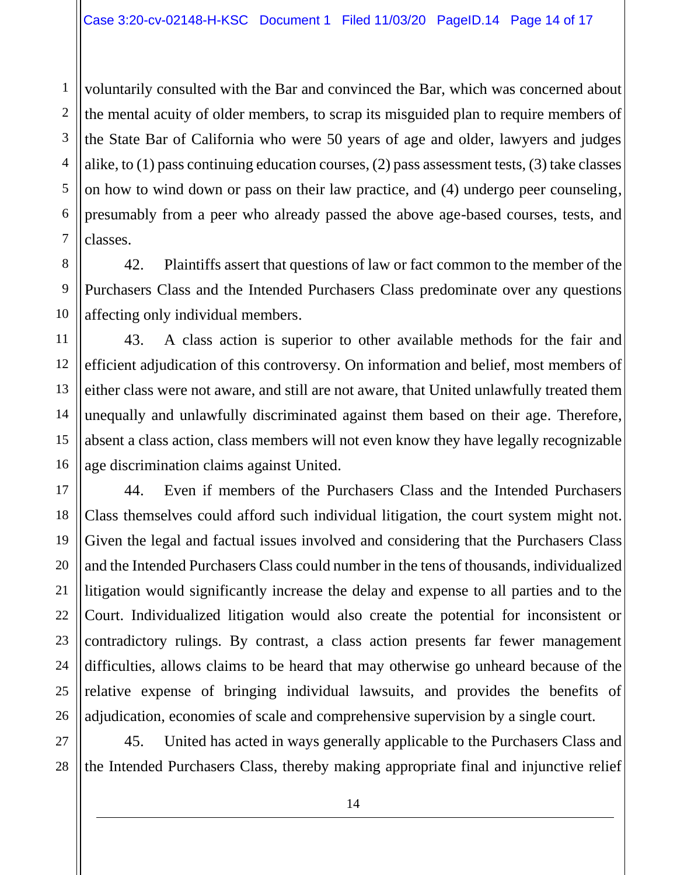voluntarily consulted with the Bar and convinced the Bar, which was concerned about the mental acuity of older members, to scrap its misguided plan to require members of the State Bar of California who were 50 years of age and older, lawyers and judges alike, to (1) pass continuing education courses, (2) pass assessment tests, (3) take classes on how to wind down or pass on their law practice, and (4) undergo peer counseling, presumably from a peer who already passed the above age-based courses, tests, and classes.

42. Plaintiffs assert that questions of law or fact common to the member of the Purchasers Class and the Intended Purchasers Class predominate over any questions affecting only individual members.

11 12 13 14 15 16 43. A class action is superior to other available methods for the fair and efficient adjudication of this controversy. On information and belief, most members of either class were not aware, and still are not aware, that United unlawfully treated them unequally and unlawfully discriminated against them based on their age. Therefore, absent a class action, class members will not even know they have legally recognizable age discrimination claims against United.

17 18 19 20 21 22 23 24 25 26 44. Even if members of the Purchasers Class and the Intended Purchasers Class themselves could afford such individual litigation, the court system might not. Given the legal and factual issues involved and considering that the Purchasers Class and the Intended Purchasers Class could number in the tens of thousands, individualized litigation would significantly increase the delay and expense to all parties and to the Court. Individualized litigation would also create the potential for inconsistent or contradictory rulings. By contrast, a class action presents far fewer management difficulties, allows claims to be heard that may otherwise go unheard because of the relative expense of bringing individual lawsuits, and provides the benefits of adjudication, economies of scale and comprehensive supervision by a single court.

27 28 45. United has acted in ways generally applicable to the Purchasers Class and the Intended Purchasers Class, thereby making appropriate final and injunctive relief

1

2

3

4

5

6

7

8

9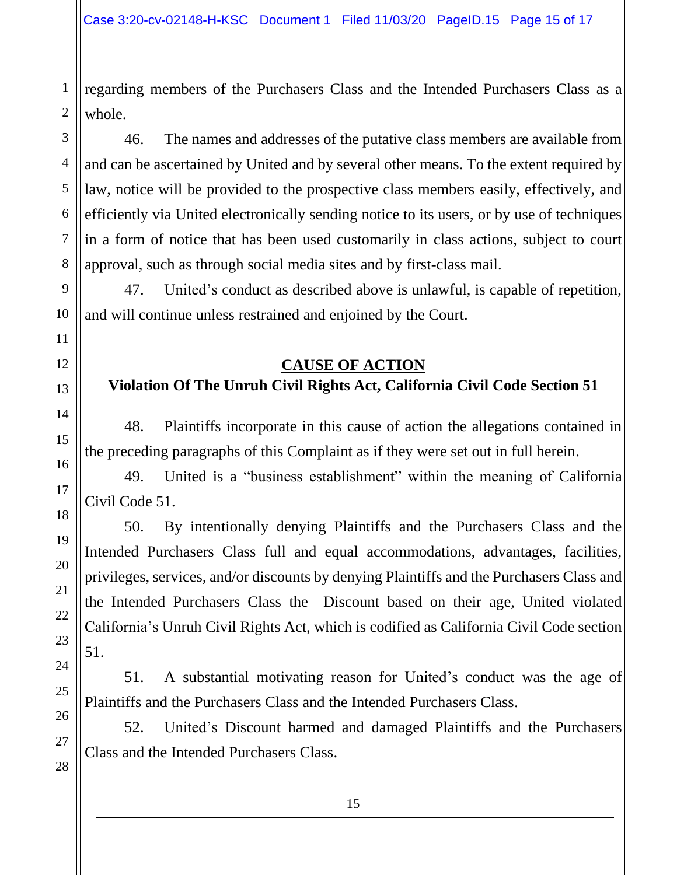regarding members of the Purchasers Class and the Intended Purchasers Class as a whole.

46. The names and addresses of the putative class members are available from and can be ascertained by United and by several other means. To the extent required by law, notice will be provided to the prospective class members easily, effectively, and efficiently via United electronically sending notice to its users, or by use of techniques in a form of notice that has been used customarily in class actions, subject to court approval, such as through social media sites and by first-class mail.

47. United's conduct as described above is unlawful, is capable of repetition, and will continue unless restrained and enjoined by the Court.

## **CAUSE OF ACTION**

# **Violation Of The Unruh Civil Rights Act, California Civil Code Section 51**

48. Plaintiffs incorporate in this cause of action the allegations contained in the preceding paragraphs of this Complaint as if they were set out in full herein.

49. United is a "business establishment" within the meaning of California Civil Code 51.

50. By intentionally denying Plaintiffs and the Purchasers Class and the Intended Purchasers Class full and equal accommodations, advantages, facilities, privileges, services, and/or discounts by denying Plaintiffs and the Purchasers Class and the Intended Purchasers Class the Discount based on their age, United violated California's Unruh Civil Rights Act, which is codified as California Civil Code section 51.

51. A substantial motivating reason for United's conduct was the age of Plaintiffs and the Purchasers Class and the Intended Purchasers Class.

52. United's Discount harmed and damaged Plaintiffs and the Purchasers Class and the Intended Purchasers Class.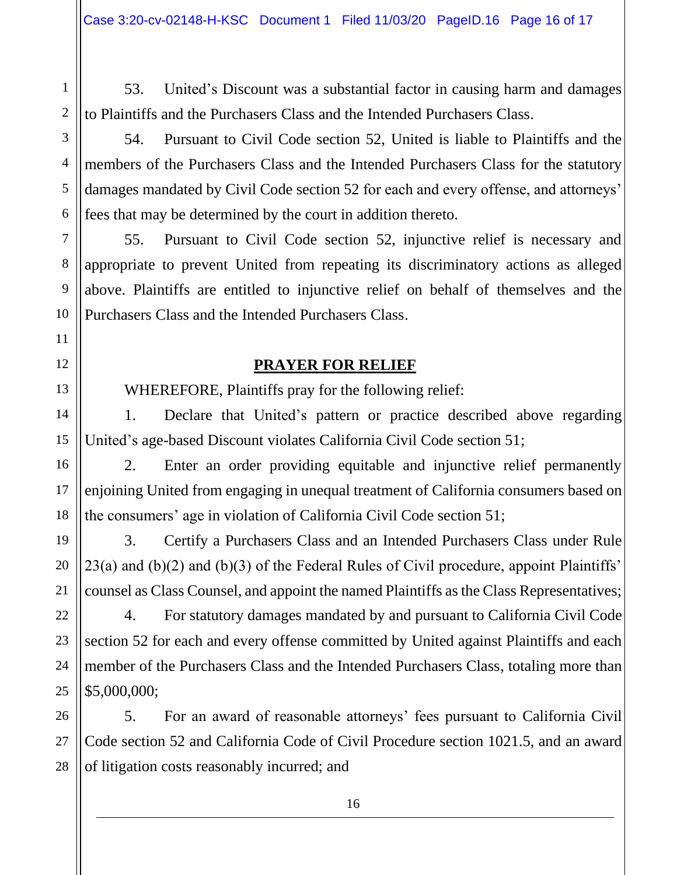53. United's Discount was a substantial factor in causing harm and damages to Plaintiffs and the Purchasers Class and the Intended Purchasers Class.

54. Pursuant to Civil Code section 52, United is liable to Plaintiffs and the members of the Purchasers Class and the Intended Purchasers Class for the statutory damages mandated by Civil Code section 52 for each and every offense, and attorneys' fees that may be determined by the court in addition thereto.

55. Pursuant to Civil Code section 52, injunctive relief is necessary and appropriate to prevent United from repeating its discriminatory actions as alleged above. Plaintiffs are entitled to injunctive relief on behalf of themselves and the Purchasers Class and the Intended Purchasers Class.

# **PRAYER FOR RELIEF**

WHEREFORE, Plaintiffs pray for the following relief:

1. Declare that United's pattern or practice described above regarding United's age-based Discount violates California Civil Code section 51;

2. Enter an order providing equitable and injunctive relief permanently enjoining United from engaging in unequal treatment of California consumers based on the consumers' age in violation of California Civil Code section 51;

3. Certify a Purchasers Class and an Intended Purchasers Class under Rule  $23(a)$  and  $(b)(2)$  and  $(b)(3)$  of the Federal Rules of Civil procedure, appoint Plaintiffs' counsel as Class Counsel, and appoint the named Plaintiffs as the Class Representatives;

4. For statutory damages mandated by and pursuant to California Civil Code section 52 for each and every offense committed by United against Plaintiffs and each member of the Purchasers Class and the Intended Purchasers Class, totaling more than \$5,000,000;

5. For an award of reasonable attorneys' fees pursuant to California Civil Code section 52 and California Code of Civil Procedure section 1021.5, and an award of litigation costs reasonably incurred; and